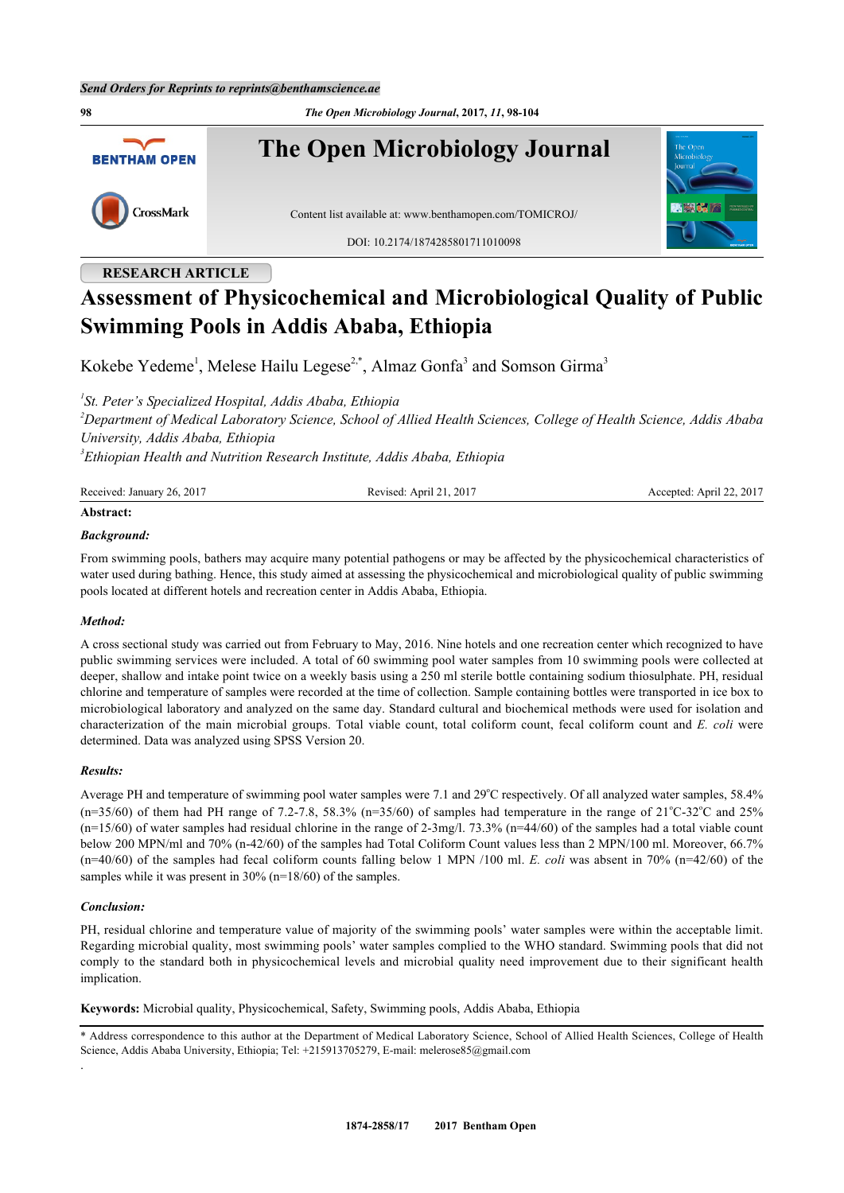**98** *The Open Microbiology Journal***, 2017,** *11***, 98-104 The Open Microbiology Journal BENTHAM OPEN** CrossMark Content list available at: [www.benthamopen.com/TOMICROJ/](http://www.benthamopen.com/TOMICROJ/) DOI: [10.2174/1874285801711010098](http://dx.doi.org/10.2174/1874285801711010098)

## **RESEARCH ARTICLE**

# **Assessment of Physicochemical and Microbiological Quality of Public Swimming Pools in Addis Ababa, Ethiopia**

Kokebe Yedeme<sup>[1](#page-0-0)</sup>, Melese Hailu Legese<sup>[2,](#page-0-1)[\\*](#page-0-2)</sup>, Almaz Gonfa<sup>[3](#page-0-3)</sup> and Somson Girma<sup>3</sup>

<span id="page-0-0"></span>*1 St. Peter's Specialized Hospital, Addis Ababa, Ethiopia*

<span id="page-0-1"></span>*<sup>2</sup>Department of Medical Laboratory Science, School of Allied Health Sciences, College of Health Science, Addis Ababa University, Addis Ababa, Ethiopia*

<span id="page-0-3"></span>*3 Ethiopian Health and Nutrition Research Institute, Addis Ababa, Ethiopia*

| Received: January 26, 2017 | Revised: April 21, 2017 | Accepted: April 22, 2017 |
|----------------------------|-------------------------|--------------------------|
| All and a second $\alpha$  |                         |                          |

## **Abstract:**

#### *Background:*

From swimming pools, bathers may acquire many potential pathogens or may be affected by the physicochemical characteristics of water used during bathing. Hence, this study aimed at assessing the physicochemical and microbiological quality of public swimming pools located at different hotels and recreation center in Addis Ababa, Ethiopia.

## *Method:*

A cross sectional study was carried out from February to May, 2016. Nine hotels and one recreation center which recognized to have public swimming services were included. A total of 60 swimming pool water samples from 10 swimming pools were collected at deeper, shallow and intake point twice on a weekly basis using a 250 ml sterile bottle containing sodium thiosulphate. PH, residual chlorine and temperature of samples were recorded at the time of collection. Sample containing bottles were transported in ice box to microbiological laboratory and analyzed on the same day. Standard cultural and biochemical methods were used for isolation and characterization of the main microbial groups. Total viable count, total coliform count, fecal coliform count and *E. coli* were determined. Data was analyzed using SPSS Version 20.

#### *Results:*

Average PH and temperature of swimming pool water samples were 7.1 and 29°C respectively. Of all analyzed water samples, 58.4%  $(n=35/60)$  of them had PH range of 7.2-7.8, 58.3% (n=35/60) of samples had temperature in the range of 21°C-32°C and 25%  $(n=15/60)$  of water samples had residual chlorine in the range of 2-3mg/l. 73.3%  $(n=44/60)$  of the samples had a total viable count below 200 MPN/ml and 70% (n-42/60) of the samples had Total Coliform Count values less than 2 MPN/100 ml. Moreover, 66.7% (n=40/60) of the samples had fecal coliform counts falling below 1 MPN /100 ml. *E. coli* was absent in 70% (n=42/60) of the samples while it was present in 30% (n=18/60) of the samples.

#### *Conclusion:*

.

PH, residual chlorine and temperature value of majority of the swimming pools' water samples were within the acceptable limit. Regarding microbial quality, most swimming pools' water samples complied to the WHO standard. Swimming pools that did not comply to the standard both in physicochemical levels and microbial quality need improvement due to their significant health implication.

**Keywords:** Microbial quality, Physicochemical, Safety, Swimming pools, Addis Ababa, Ethiopia

<span id="page-0-2"></span>\* Address correspondence to this author at the Department of Medical Laboratory Science, School of Allied Health Sciences, College of Health Science, Addis Ababa University, Ethiopia; Tel: +215913705279, E-mail: [melerose85@gmail.com](mailto:melerose85@gmail.com)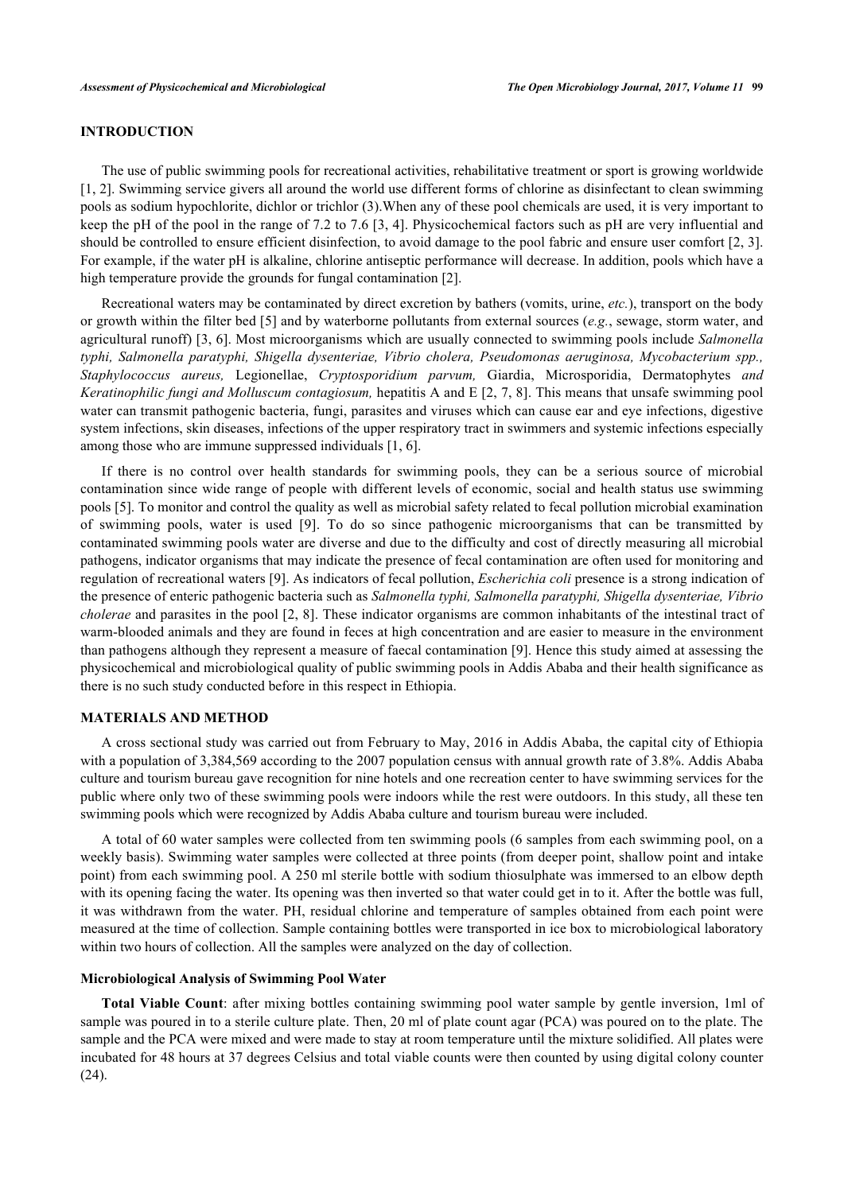## **INTRODUCTION**

The use of public swimming pools for recreational activities, rehabilitative treatment or sport is growing worldwide [\[1](#page-6-0), [2](#page-6-1)]. Swimming service givers all around the world use different forms of chlorine as disinfectant to clean swimming pools as sodium hypochlorite, dichlor or trichlor (3).When any of these pool chemicals are used, it is very important to keep the pH of the pool in the range of 7.2 to 7.6 [\[3,](#page-6-2) [4](#page-6-3)]. Physicochemical factors such as pH are very influential and should be controlled to ensure efficient disinfection, to avoid damage to the pool fabric and ensure user comfort [\[2](#page-6-1), [3\]](#page-6-2). For example, if the water pH is alkaline, chlorine antiseptic performance will decrease. In addition, pools which have a high temperature provide the grounds for fungal contamination [[2\]](#page-6-1).

Recreational waters may be contaminated by direct excretion by bathers (vomits, urine, *etc.*), transport on the body or growth within the filter bed [[5](#page-6-4)] and by waterborne pollutants from external sources (*e.g.*, sewage, storm water, and agricultural runoff) [[3,](#page-6-2) [6\]](#page-6-5). Most microorganisms which are usually connected to swimming pools include *Salmonella typhi, Salmonella paratyphi, Shigella dysenteriae, Vibrio cholera, Pseudomonas aeruginosa, Mycobacterium spp., Staphylococcus aureus,* Legionellae, *Cryptosporidium parvum,* Giardia, Microsporidia, Dermatophytes *and Keratinophilic fungi and Molluscum contagiosum,* hepatitis A and E [\[2](#page-6-1), [7,](#page-6-6) [8](#page-6-7)]. This means that unsafe swimming pool water can transmit pathogenic bacteria, fungi, parasites and viruses which can cause ear and eye infections, digestive system infections, skin diseases, infections of the upper respiratory tract in swimmers and systemic infections especially among those who are immune suppressed individuals [\[1](#page-6-0), [6](#page-6-5)].

If there is no control over health standards for swimming pools, they can be a serious source of microbial contamination since wide range of people with different levels of economic, social and health status use swimming pools [\[5](#page-6-4)]. To monitor and control the quality as well as microbial safety related to fecal pollution microbial examination of swimming pools, water is used[[9\]](#page-6-8). To do so since pathogenic microorganisms that can be transmitted by contaminated swimming pools water are diverse and due to the difficulty and cost of directly measuring all microbial pathogens, indicator organisms that may indicate the presence of fecal contamination are often used for monitoring and regulation of recreational waters [\[9](#page-6-8)]. As indicators of fecal pollution, *Escherichia coli* presence is a strong indication of the presence of enteric pathogenic bacteria such as *Salmonella typhi, Salmonella paratyphi, Shigella dysenteriae, Vibrio cholerae* and parasites in the pool [[2](#page-6-1), [8\]](#page-6-7). These indicator organisms are common inhabitants of the intestinal tract of warm-blooded animals and they are found in feces at high concentration and are easier to measure in the environment than pathogens although they represent a measure of faecal contamination [\[9](#page-6-8)]. Hence this study aimed at assessing the physicochemical and microbiological quality of public swimming pools in Addis Ababa and their health significance as there is no such study conducted before in this respect in Ethiopia.

## **MATERIALS AND METHOD**

A cross sectional study was carried out from February to May, 2016 in Addis Ababa, the capital city of Ethiopia with a population of 3,384,569 according to the 2007 population census with annual growth rate of 3.8%. Addis Ababa culture and tourism bureau gave recognition for nine hotels and one recreation center to have swimming services for the public where only two of these swimming pools were indoors while the rest were outdoors. In this study, all these ten swimming pools which were recognized by Addis Ababa culture and tourism bureau were included.

A total of 60 water samples were collected from ten swimming pools (6 samples from each swimming pool, on a weekly basis). Swimming water samples were collected at three points (from deeper point, shallow point and intake point) from each swimming pool. A 250 ml sterile bottle with sodium thiosulphate was immersed to an elbow depth with its opening facing the water. Its opening was then inverted so that water could get in to it. After the bottle was full, it was withdrawn from the water. PH, residual chlorine and temperature of samples obtained from each point were measured at the time of collection. Sample containing bottles were transported in ice box to microbiological laboratory within two hours of collection. All the samples were analyzed on the day of collection.

#### **Microbiological Analysis of Swimming Pool Water**

**Total Viable Count**: after mixing bottles containing swimming pool water sample by gentle inversion, 1ml of sample was poured in to a sterile culture plate. Then, 20 ml of plate count agar (PCA) was poured on to the plate. The sample and the PCA were mixed and were made to stay at room temperature until the mixture solidified. All plates were incubated for 48 hours at 37 degrees Celsius and total viable counts were then counted by using digital colony counter (24).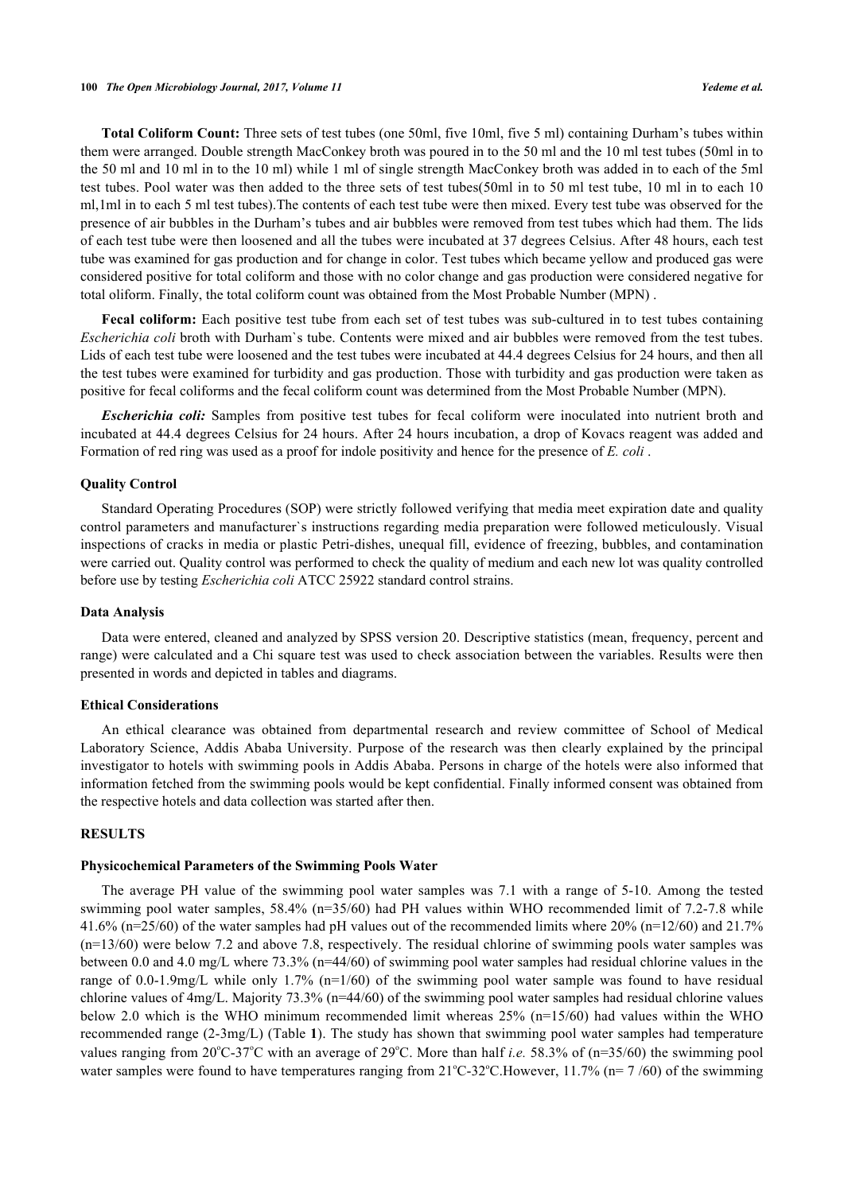**Total Coliform Count:** Three sets of test tubes (one 50ml, five 10ml, five 5 ml) containing Durham's tubes within them were arranged. Double strength MacConkey broth was poured in to the 50 ml and the 10 ml test tubes (50ml in to the 50 ml and 10 ml in to the 10 ml) while 1 ml of single strength MacConkey broth was added in to each of the 5ml test tubes. Pool water was then added to the three sets of test tubes(50ml in to 50 ml test tube, 10 ml in to each 10 ml,1ml in to each 5 ml test tubes).The contents of each test tube were then mixed. Every test tube was observed for the presence of air bubbles in the Durham's tubes and air bubbles were removed from test tubes which had them. The lids of each test tube were then loosened and all the tubes were incubated at 37 degrees Celsius. After 48 hours, each test tube was examined for gas production and for change in color. Test tubes which became yellow and produced gas were considered positive for total coliform and those with no color change and gas production were considered negative for total oliform. Finally, the total coliform count was obtained from the Most Probable Number (MPN) .

**Fecal coliform:** Each positive test tube from each set of test tubes was sub-cultured in to test tubes containing *Escherichia coli* broth with Durham`s tube. Contents were mixed and air bubbles were removed from the test tubes. Lids of each test tube were loosened and the test tubes were incubated at 44.4 degrees Celsius for 24 hours, and then all the test tubes were examined for turbidity and gas production. Those with turbidity and gas production were taken as positive for fecal coliforms and the fecal coliform count was determined from the Most Probable Number (MPN).

*Escherichia coli:* Samples from positive test tubes for fecal coliform were inoculated into nutrient broth and incubated at 44.4 degrees Celsius for 24 hours. After 24 hours incubation, a drop of Kovacs reagent was added and Formation of red ring was used as a proof for indole positivity and hence for the presence of *E. coli* .

#### **Quality Control**

Standard Operating Procedures (SOP) were strictly followed verifying that media meet expiration date and quality control parameters and manufacturer`s instructions regarding media preparation were followed meticulously. Visual inspections of cracks in media or plastic Petri-dishes, unequal fill, evidence of freezing, bubbles, and contamination were carried out. Quality control was performed to check the quality of medium and each new lot was quality controlled before use by testing *Escherichia coli* ATCC 25922 standard control strains.

#### **Data Analysis**

Data were entered, cleaned and analyzed by SPSS version 20. Descriptive statistics (mean, frequency, percent and range) were calculated and a Chi square test was used to check association between the variables. Results were then presented in words and depicted in tables and diagrams.

## **Ethical Considerations**

An ethical clearance was obtained from departmental research and review committee of School of Medical Laboratory Science, Addis Ababa University. Purpose of the research was then clearly explained by the principal investigator to hotels with swimming pools in Addis Ababa. Persons in charge of the hotels were also informed that information fetched from the swimming pools would be kept confidential. Finally informed consent was obtained from the respective hotels and data collection was started after then.

## **RESULTS**

#### **Physicochemical Parameters of the Swimming Pools Water**

The average PH value of the swimming pool water samples was 7.1 with a range of 5-10. Among the tested swimming pool water samples, 58.4% (n=35/60) had PH values within WHO recommended limit of 7.2-7.8 while 41.6% (n=25/60) of the water samples had pH values out of the recommended limits where 20% (n=12/60) and 21.7% (n=13/60) were below 7.2 and above 7.8, respectively. The residual chlorine of swimming pools water samples was between 0.0 and 4.0 mg/L where 73.3% (n=44/60) of swimming pool water samples had residual chlorine values in the range of 0.0-1.9mg/L while only 1.7% (n=1/60) of the swimming pool water sample was found to have residual chlorine values of 4mg/L. Majority 73.3% (n=44/60) of the swimming pool water samples had residual chlorine values below 2.0 which is the WHO minimum recommended limit whereas 25% (n=15/60) had values within the WHO recommended range (2-3mg/L) (Table **[1](#page-3-0)**). The study has shown that swimming pool water samples had temperature values ranging from  $20^{\circ}C \cdot 37^{\circ}C$  with an average of  $29^{\circ}C$ . More than half *i.e.* 58.3% of (n=35/60) the swimming pool water samples were found to have temperatures ranging from  $21^{\circ}C-32^{\circ}C$ . However, 11.7% (n= 7/60) of the swimming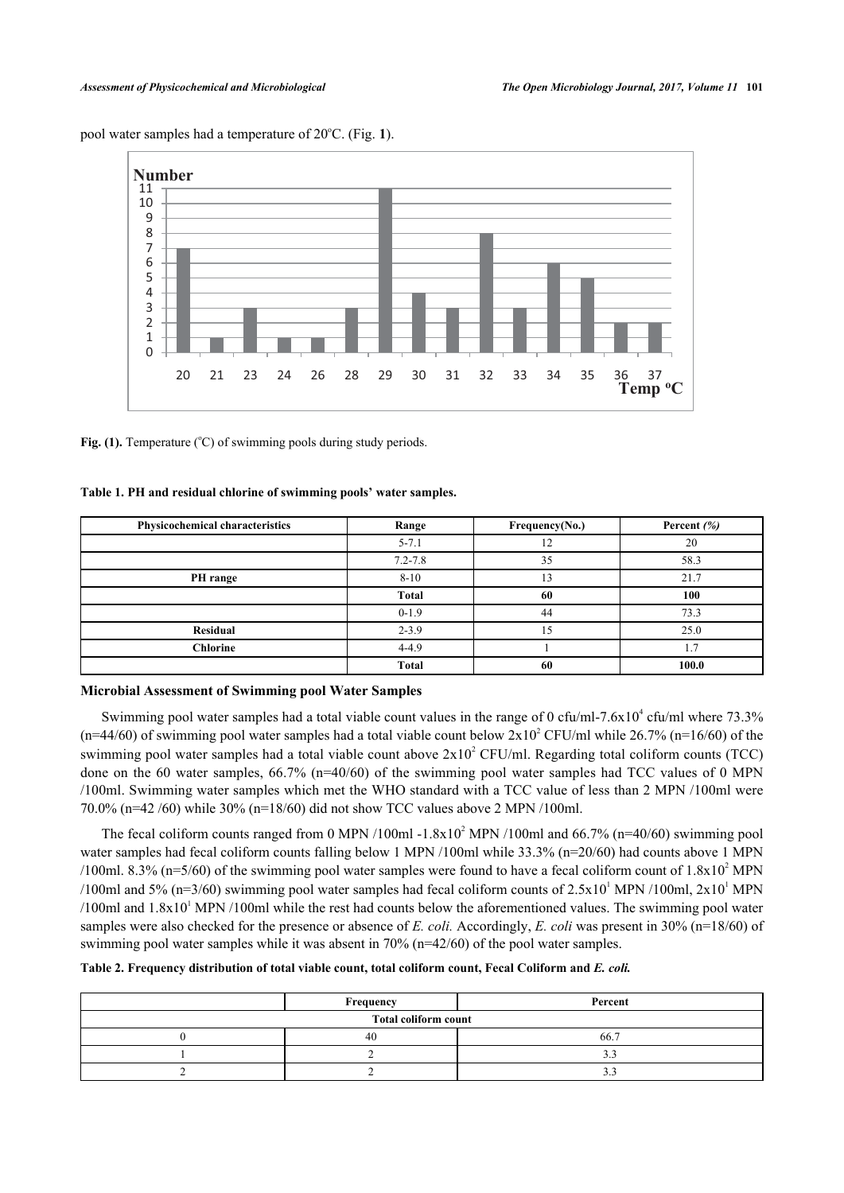<span id="page-3-1"></span>pool water samples had a temperature of 20<sup>o</sup>C. (Fig. [1](#page-3-1)).



Fig. (1). Temperature  $({}^{\circ}C)$  of swimming pools during study periods.

## <span id="page-3-0"></span>**Table 1. PH and residual chlorine of swimming pools' water samples.**

| <b>Physicochemical characteristics</b> | Range        | Frequency(No.) | Percent $(\%)$ |
|----------------------------------------|--------------|----------------|----------------|
|                                        | $5 - 7.1$    | $12^{\circ}$   | 20             |
|                                        | $7.2 - 7.8$  | 35             | 58.3           |
| PH range                               | $8 - 10$     | 13             | 21.7           |
|                                        | <b>Total</b> | 60             | 100            |
|                                        | $0 - 1.9$    | 44             | 73.3           |
| <b>Residual</b>                        | $2 - 3.9$    |                | 25.0           |
| <b>Chlorine</b>                        | $4 - 4.9$    |                |                |
|                                        | <b>Total</b> | 60             | 100.0          |

#### **Microbial Assessment of Swimming pool Water Samples**

Swimming pool water samples had a total viable count values in the range of 0 cfu/ml-7.6x10<sup>4</sup> cfu/ml where 73.3%  $(n=44/60)$  of swimming pool water samples had a total viable count below  $2 \times 10^2$  CFU/ml while 26.7% (n=16/60) of the swimming pool water samples had a total viable count above  $2x10^2$  CFU/ml. Regarding total coliform counts (TCC) done on the 60 water samples, 66.7% (n=40/60) of the swimming pool water samples had TCC values of 0 MPN /100ml. Swimming water samples which met the WHO standard with a TCC value of less than 2 MPN /100ml were 70.0% (n=42 /60) while 30% (n=18/60) did not show TCC values above 2 MPN /100ml.

The fecal coliform counts ranged from 0 MPN /100ml  $-1.8 \times 10^2$  MPN /100ml and 66.7% (n=40/60) swimming pool water samples had fecal coliform counts falling below 1 MPN /100ml while 33.3% (n=20/60) had counts above 1 MPN /100ml. 8.3% (n=5/60) of the swimming pool water samples were found to have a fecal coliform count of  $1.8x10^2$  MPN /100ml and 5% (n=3/60) swimming pool water samples had fecal coliform counts of  $2.5 \times 10^{1}$  MPN /100ml,  $2 \times 10^{1}$  MPN  $/100$ ml and  $1.8x10<sup>1</sup>$  MPN  $/100$ ml while the rest had counts below the aforementioned values. The swimming pool water samples were also checked for the presence or absence of *E. coli.* Accordingly, *E. coli* was present in 30% (n=18/60) of swimming pool water samples while it was absent in 70% (n=42/60) of the pool water samples.

## <span id="page-3-2"></span>**Table 2. Frequency distribution of total viable count, total coliform count, Fecal Coliform and** *E. coli.*

|                      | Frequency | Percent  |
|----------------------|-----------|----------|
| Total coliform count |           |          |
|                      | 40        | 66.7     |
|                      |           |          |
|                      |           | <u>.</u> |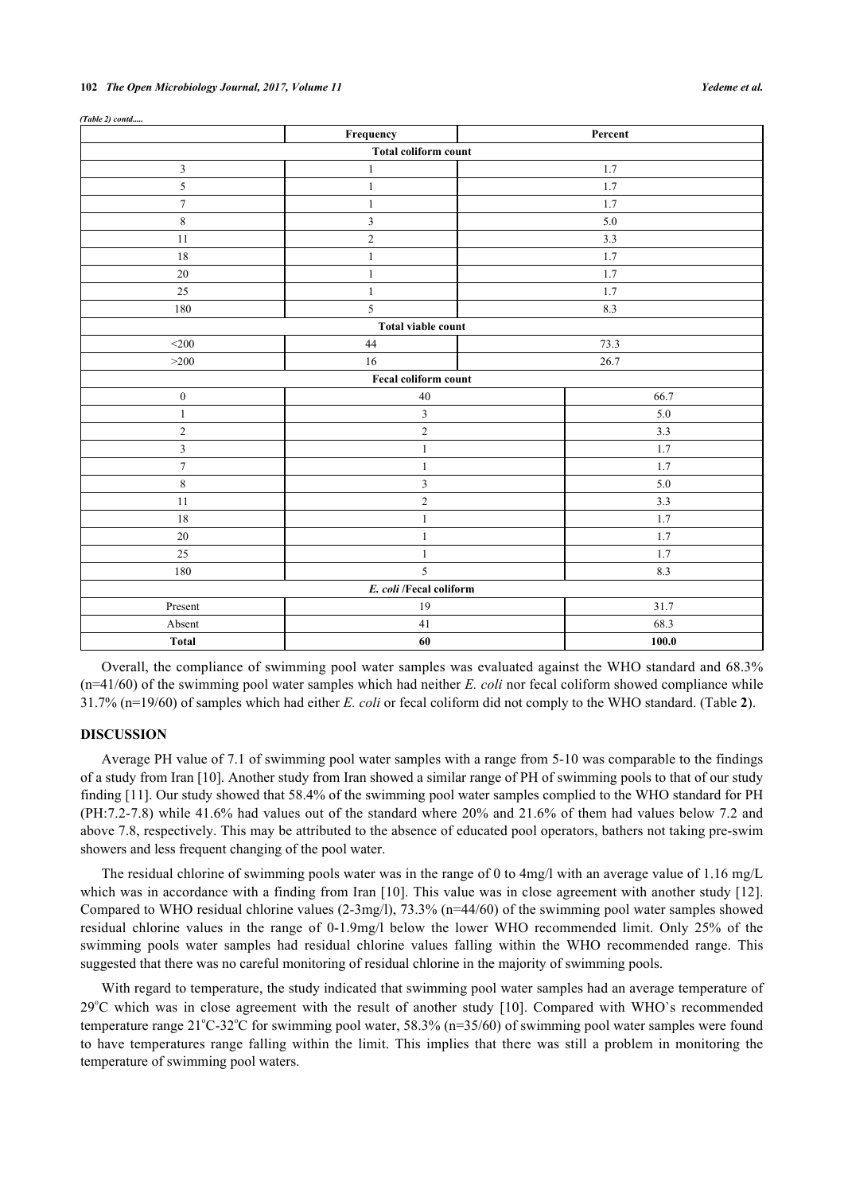|                             | Frequency               | Percent |  |  |
|-----------------------------|-------------------------|---------|--|--|
| <b>Total coliform count</b> |                         |         |  |  |
| $\mathfrak{Z}$              | $\mathbf{1}$            | 1.7     |  |  |
| 5                           | $\mathbf{1}$            | 1.7     |  |  |
| $\boldsymbol{7}$            | $\mathbf{1}$            | 1.7     |  |  |
| $\,8\,$                     | $\mathfrak{Z}$          | $5.0\,$ |  |  |
| 11                          | $\overline{c}$          | 3.3     |  |  |
| 18                          | $\mathbf{1}$            | 1.7     |  |  |
| $20\,$                      | $\mathbf{1}$            | 1.7     |  |  |
| 25                          | $\mathbf{1}$            | 1.7     |  |  |
| 180                         | 5                       | 8.3     |  |  |
| <b>Total viable count</b>   |                         |         |  |  |
| $<$ 200 $\,$                | 44                      | 73.3    |  |  |
| $>200$                      | 16                      | 26.7    |  |  |
|                             | Fecal coliform count    |         |  |  |
| $\boldsymbol{0}$            | 40                      | 66.7    |  |  |
| $\mathbf{1}$                | $\mathfrak{Z}$          | 5.0     |  |  |
| $\overline{c}$              | $\sqrt{2}$              | 3.3     |  |  |
| $\overline{\mathbf{3}}$     | $\mathbf{1}$            | 1.7     |  |  |
| $\tau$                      | $\mathbf{1}$            | 1.7     |  |  |
| 8                           | $\mathbf{3}$            | 5.0     |  |  |
| 11                          | $\sqrt{2}$              | 3.3     |  |  |
| 18                          | $\mathbf{1}$            | 1.7     |  |  |
| $20\,$                      | $\,1$                   | 1.7     |  |  |
| 25                          | $\mathbf{1}$            | 1.7     |  |  |
| 180                         | 5                       | 8.3     |  |  |
|                             | E. coli /Fecal coliform |         |  |  |
| Present                     | 19                      | 31.7    |  |  |
| Absent                      | 41                      | 68.3    |  |  |
| Total                       | 60                      | 100.0   |  |  |

| (Table 2) contd |  |
|-----------------|--|

Overall, the compliance of swimming pool water samples was evaluated against the WHO standard and 68.3% (n=41/60) of the swimming pool water samples which had neither *E. coli* nor fecal coliform showed compliance while 31.7% (n=19/60) of samples which had either *E. coli* or fecal coliform did not comply to the WHO standard. (Table **[2](#page-3-2)**).

#### **DISCUSSION**

Average PH value of 7.1 of swimming pool water samples with a range from 5-10 was comparable to the findings of a study from Iran [[10\]](#page-6-9). Another study from Iran showed a similar range of PH of swimming pools to that of our study finding [[11\]](#page-6-10). Our study showed that 58.4% of the swimming pool water samples complied to the WHO standard for PH (PH:7.2-7.8) while 41.6% had values out of the standard where 20% and 21.6% of them had values below 7.2 and above 7.8, respectively. This may be attributed to the absence of educated pool operators, bathers not taking pre-swim showers and less frequent changing of the pool water.

The residual chlorine of swimming pools water was in the range of 0 to 4mg/l with an average value of 1.16 mg/L which was in accordance with a finding from Iran [\[10](#page-6-9)]. This value was in close agreement with another study [\[12\]](#page-6-11). Compared to WHO residual chlorine values (2-3mg/l), 73.3% (n=44/60) of the swimming pool water samples showed residual chlorine values in the range of 0-1.9mg/l below the lower WHO recommended limit. Only 25% of the swimming pools water samples had residual chlorine values falling within the WHO recommended range. This suggested that there was no careful monitoring of residual chlorine in the majority of swimming pools.

With regard to temperature, the study indicated that swimming pool water samples had an average temperature of  $29^{\circ}$ Cwhich was in close agreement with the result of another study [[10](#page-6-9)]. Compared with WHO`s recommended temperature range  $21^{\circ}$ C-32 $^{\circ}$ C for swimming pool water, 58.3% (n=35/60) of swimming pool water samples were found to have temperatures range falling within the limit. This implies that there was still a problem in monitoring the temperature of swimming pool waters.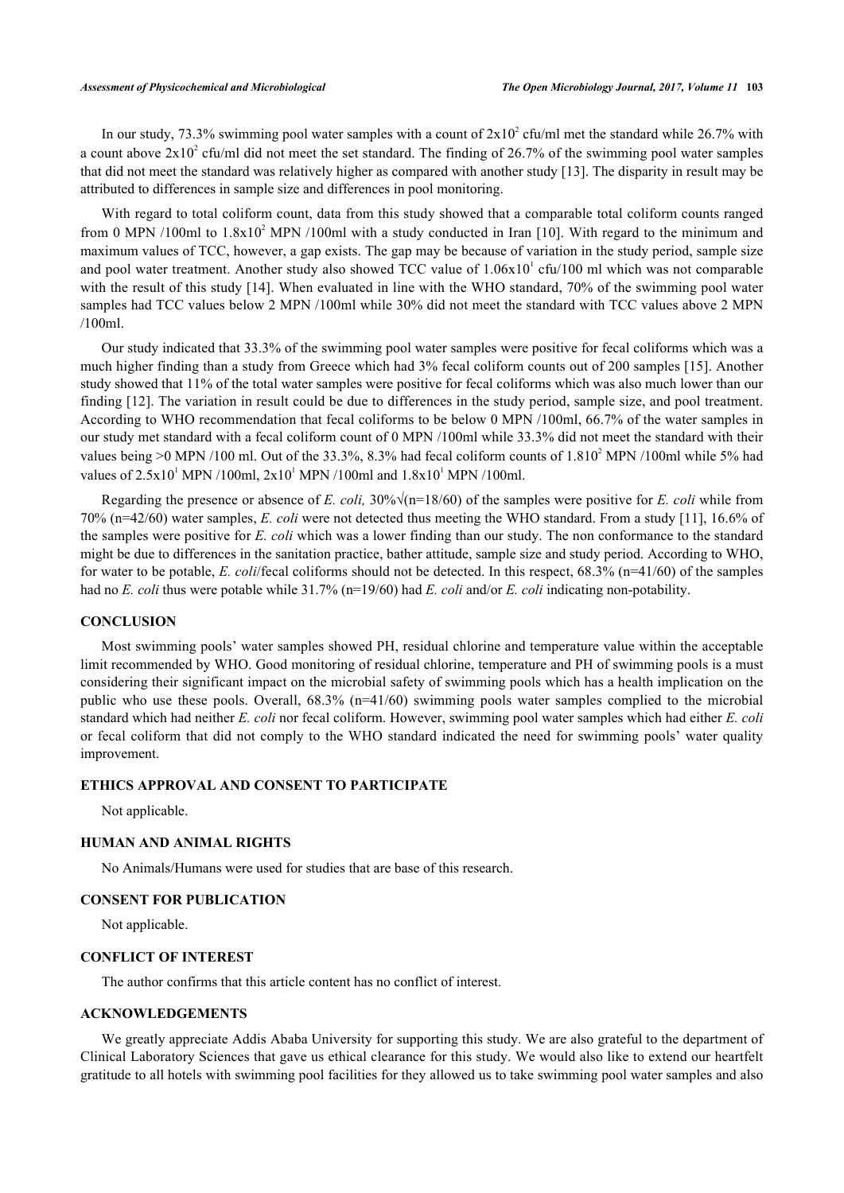In our study, 73.3% swimming pool water samples with a count of  $2x10^2$  cfu/ml met the standard while 26.7% with a count above  $2x10^2$  cfu/ml did not meet the set standard. The finding of 26.7% of the swimming pool water samples that did not meet the standard was relatively higher as compared with another study [[13\]](#page-6-12). The disparity in result may be attributed to differences in sample size and differences in pool monitoring.

With regard to total coliform count, data from this study showed that a comparable total coliform counts ranged from 0 MPN /[10](#page-6-9)0ml to  $1.8x10^2$  MPN /100ml with a study conducted in Iran [10]. With regard to the minimum and maximum values of TCC, however, a gap exists. The gap may be because of variation in the study period, sample size and pool water treatment. Another study also showed TCC value of  $1.06x10<sup>1</sup>$  cfu/100 ml which was not comparable with the result of this study [\[14\]](#page-6-13). When evaluated in line with the WHO standard, 70% of the swimming pool water samples had TCC values below 2 MPN /100ml while 30% did not meet the standard with TCC values above 2 MPN /100ml.

Our study indicated that 33.3% of the swimming pool water samples were positive for fecal coliforms which was a much higher finding than a study from Greece which had 3% fecal coliform counts out of 200 samples [\[15](#page-6-14)]. Another study showed that 11% of the total water samples were positive for fecal coliforms which was also much lower than our finding [[12\]](#page-6-11). The variation in result could be due to differences in the study period, sample size, and pool treatment. According to WHO recommendation that fecal coliforms to be below 0 MPN /100ml, 66.7% of the water samples in our study met standard with a fecal coliform count of 0 MPN /100ml while 33.3% did not meet the standard with their values being  $>0$  MPN /100 ml. Out of the 33.3%, 8.3% had fecal coliform counts of  $1.810^2$  MPN /100ml while 5% had values of  $2.5x10^1$  MPN /100ml,  $2x10^1$  MPN /100ml and  $1.8x10^1$  MPN /100ml.

Regarding the presence or absence of *E. coli*,  $30\%$   $\sqrt{(n=18/60)}$  of the samples were positive for *E. coli* while from 70% (n=42/60) water samples, *E. coli* were not detected thus meeting the WHO standard. From a study [[11\]](#page-6-10), 16.6% of the samples were positive for *E. coli* which was a lower finding than our study. The non conformance to the standard might be due to differences in the sanitation practice, bather attitude, sample size and study period. According to WHO, for water to be potable, *E. coli*/fecal coliforms should not be detected. In this respect, 68.3% (n=41/60) of the samples had no *E. coli* thus were potable while 31.7% (n=19/60) had *E. coli* and/or *E. coli* indicating non-potability.

## **CONCLUSION**

Most swimming pools' water samples showed PH, residual chlorine and temperature value within the acceptable limit recommended by WHO. Good monitoring of residual chlorine, temperature and PH of swimming pools is a must considering their significant impact on the microbial safety of swimming pools which has a health implication on the public who use these pools. Overall, 68.3% (n=41/60) swimming pools water samples complied to the microbial standard which had neither *E. coli* nor fecal coliform. However, swimming pool water samples which had either *E. coli* or fecal coliform that did not comply to the WHO standard indicated the need for swimming pools' water quality improvement.

## **ETHICS APPROVAL AND CONSENT TO PARTICIPATE**

Not applicable.

## **HUMAN AND ANIMAL RIGHTS**

No Animals/Humans were used for studies that are base of this research.

## **CONSENT FOR PUBLICATION**

Not applicable.

## **CONFLICT OF INTEREST**

The author confirms that this article content has no conflict of interest.

## **ACKNOWLEDGEMENTS**

We greatly appreciate Addis Ababa University for supporting this study. We are also grateful to the department of Clinical Laboratory Sciences that gave us ethical clearance for this study. We would also like to extend our heartfelt gratitude to all hotels with swimming pool facilities for they allowed us to take swimming pool water samples and also